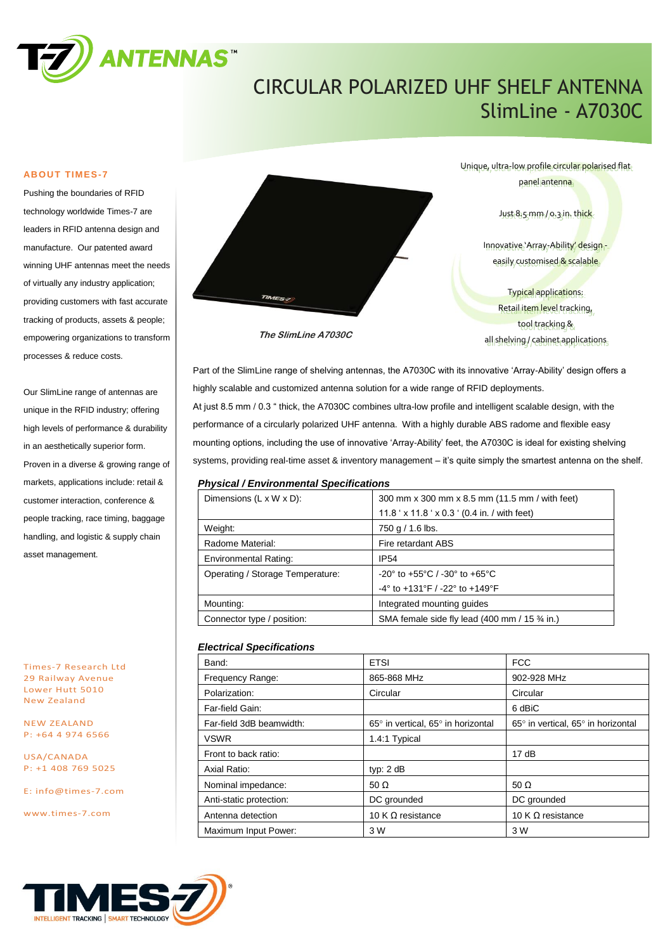

# CIRCULAR POLARIZED UHF SHELF ANTENNA SlimLine - A7030C

#### **ABOUT TIMES-7**

Pushing the boundaries of RFID technology worldwide Times-7 are leaders in RFID antenna design and manufacture. Our patented award winning UHF antennas meet the needs of virtually any industry application; providing customers with fast accurate tracking of products, assets & people; empowering organizations to transform processes & reduce costs.

Our SlimLine range of antennas are unique in the RFID industry; offering high levels of performance & durability in an aesthetically superior form. Proven in a diverse & growing range of markets, applications include: retail & customer interaction, conference & people tracking, race timing, baggage handling, and logistic & supply chain asset management.

Times-7 Research Ltd 29 Railway Avenue Lower Hutt 5010 New Zealand

NEW ZEALAND P: +64 4 974 6566

USA/CANADA P: +1 408 769 5025

E: [info@times-7.com](mailto:info@times-7.com)

www.times-7.com



**The SlimLine A7030C**

Unique, ultra-low profile circular polarised flat panel antenna Just 8.5 mm / 0.3 in. thick Innovative 'Array-Ability' designeasily customised & scalable

> Typical applications: Retail item level tracking, tool tracking & all shelving / cabinet applications

Part of the SlimLine range of shelving antennas, the A7030C with its innovative 'Array-Ability' design offers a highly scalable and customized antenna solution for a wide range of RFID deployments. At just 8.5 mm / 0.3 " thick, the A7030C combines ultra-low profile and intelligent scalable design, with the performance of a circularly polarized UHF antenna. With a highly durable ABS radome and flexible easy mounting options, including the use of innovative 'Array-Ability' feet, the A7030C is ideal for existing shelving systems, providing real-time asset & inventory management – it's quite simply the smartest antenna on the shelf.

#### *Physical / Environmental Specifications*

| Dimensions $(L \times W \times D)$ : | 300 mm x 300 mm x 8.5 mm (11.5 mm / with feet)                       |  |
|--------------------------------------|----------------------------------------------------------------------|--|
|                                      | 11.8 ' x 11.8 ' x 0.3 ' (0.4 in. / with feet)                        |  |
| Weight:                              | 750 g $/$ 1.6 lbs.                                                   |  |
| Radome Material:                     | Fire retardant ABS                                                   |  |
| <b>Environmental Rating:</b>         | <b>IP54</b>                                                          |  |
| Operating / Storage Temperature:     | $-20^{\circ}$ to $+55^{\circ}$ C / $-30^{\circ}$ to $+65^{\circ}$ C  |  |
|                                      | $-4^{\circ}$ to $+131^{\circ}$ F / $-22^{\circ}$ to $+149^{\circ}$ F |  |
| Mounting:                            | Integrated mounting guides                                           |  |
| Connector type / position:           | SMA female side fly lead (400 mm / 15 3⁄4 in.)                       |  |

#### *Electrical Specifications*

| Band:                    | <b>ETSI</b>                        | <b>FCC</b>                         |
|--------------------------|------------------------------------|------------------------------------|
| Frequency Range:         | 865-868 MHz                        | 902-928 MHz                        |
| Polarization:            | Circular                           | Circular                           |
| Far-field Gain:          |                                    | 6 dBiC                             |
| Far-field 3dB beamwidth: | 65° in vertical, 65° in horizontal | 65° in vertical, 65° in horizontal |
| <b>VSWR</b>              | 1.4:1 Typical                      |                                    |
| Front to back ratio:     |                                    | 17dB                               |
| Axial Ratio:             | typ: $2 dB$                        |                                    |
| Nominal impedance:       | 50 $\Omega$                        | 50 $\Omega$                        |
| Anti-static protection:  | DC grounded                        | DC grounded                        |
| Antenna detection        | 10 K $\Omega$ resistance           | 10 K $\Omega$ resistance           |
| Maximum Input Power:     | 3 W                                | 3 W                                |